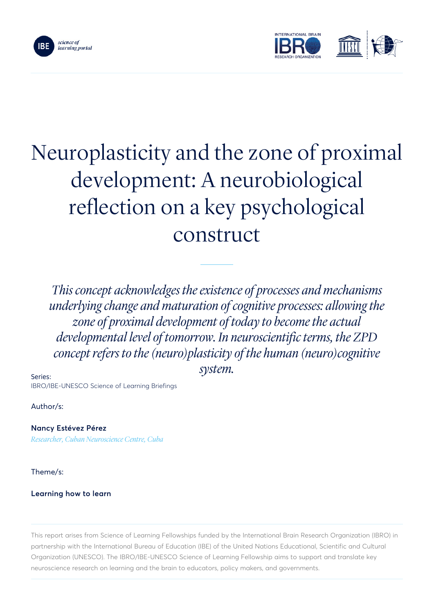



# Neuroplasticity and the zone of proximal development: A neurobiological reflection on a key psychological construct

*This concept acknowledges the existence of processes and mechanisms underlying change and maturation of cognitive processes: allowing the zone of proximal development of today to become the actual developmental level of tomorrow. In neuroscientific terms, the ZPD concept refers to the (neuro)plasticity of the human (neuro)cognitive system.*

Series: IBRO/IBE-UNESCO Science of Learning Briefings

Author/s:

Nancy Estévez Pérez *Researcher, Cuban Neuroscience Centre, Cuba*

Theme/s:

# Learning how to learn

This report arises from Science of Learning Fellowships funded by the International Brain Research Organization (IBRO) in partnership with the International Bureau of Education (IBE) of the United Nations Educational, Scientific and Cultural Organization (UNESCO). The IBRO/IBE-UNESCO Science of Learning Fellowship aims to support and translate key neuroscience research on learning and the brain to educators, policy makers, and governments.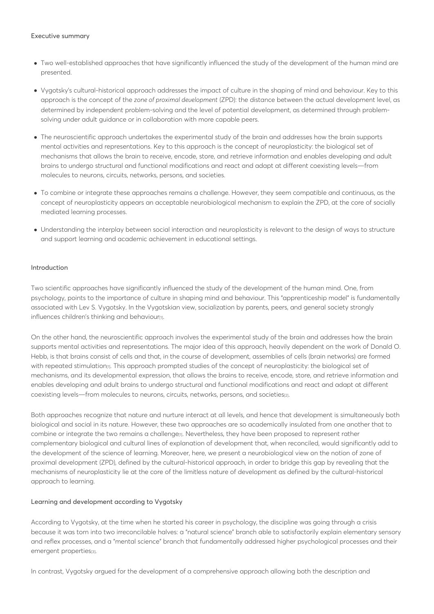#### Executive summary

- Two well-established approaches that have significantly influenced the study of the development of the human mind are presented.
- Vygotsky's cultural-historical approach addresses the impact of culture in the shaping of mind and behaviour. Key to this approach is the concept of the *zone of proximal development* (ZPD): the distance between the actual development level, as determined by independent problem-solving and the level of potential development, as determined through problemsolving under adult guidance or in collaboration with more capable peers.
- The neuroscientific approach undertakes the experimental study of the brain and addresses how the brain supports mental activities and representations. Key to this approach is the concept of neuroplasticity: the biological set of mechanisms that allows the brain to receive, encode, store, and retrieve information and enables developing and adult brains to undergo structural and functional modifications and react and adapt at different coexisting levels—from molecules to neurons, circuits, networks, persons, and societies.
- To combine or integrate these approaches remains a challenge. However, they seem compatible and continuous, as the concept of neuroplasticity appears an acceptable neurobiological mechanism to explain the ZPD, at the core of socially mediated learning processes.
- Understanding the interplay between social interaction and neuroplasticity is relevant to the design of ways to structure and support learning and academic achievement in educational settings.

#### Introduction

Two scientific approaches have significantly influenced the study of the development of the human mind. One, from psychology, points to the importance of culture in shaping mind and behaviour. This "apprenticeship model" is fundamentally associated with Lev S. Vygotsky. In the Vygotskian view, socialization by parents, peers, and general society strongly influences children's thinking and behaviour<sub>[1]</sub>.

On the other hand, the neuroscientific approach involves the experimental study of the brain and addresses how the brain supports mental activities and representations. The major idea of this approach, heavily dependent on the work of Donald O. Hebb, is that brains consist of cells and that, in the course of development, assemblies of cells (brain networks) are formed with repeated stimulation<sub>[1]</sub>. This approach prompted studies of the concept of neuroplasticity: the biological set of mechanisms, and its developmental expression, that allows the brains to receive, encode, store, and retrieve information and enables developing and adult brains to undergo structural and functional modifications and react and adapt at different coexisting levels—from molecules to neurons, circuits, networks, persons, and societies<sup>[2]</sup>.

Both approaches recognize that nature and nurture interact at all levels, and hence that development is simultaneously both biological and social in its nature. However, these two approaches are so academically insulated from one another that to combine or integrate the two remains a challengen. Nevertheless, they have been proposed to represent rather complementary biological and cultural lines of explanation of development that, when reconciled, would significantly add to the development of the science of learning. Moreover, here, we present a neurobiological view on the notion of zone of proximal development (ZPD), defined by the cultural-historical approach, in order to bridge this gap by revealing that the mechanisms of neuroplasticity lie at the core of the limitless nature of development as defined by the cultural-historical approach to learning.

#### Learning and development according to Vygotsky

According to Vygotsky, at the time when he started his career in psychology, the discipline was going through a crisis because it was torn into two irreconcilable halves: a "natural science" branch able to satisfactorily explain elementary sensory and reflex processes, and a "mental science" branch that fundamentally addressed higher psychological processes and their emergent properties[3].

In contrast, Vygotsky argued for the development of a comprehensive approach allowing both the description and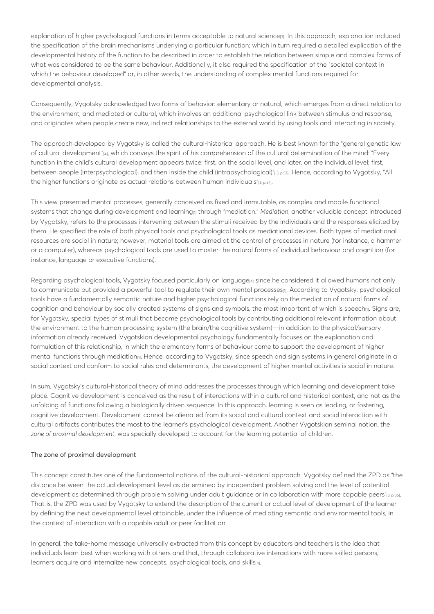explanation of higher psychological functions in terms acceptable to natural science<sup>[3]</sup>. In this approach, explanation included the specification of the brain mechanisms underlying a particular function; which in turn required a detailed explication of the developmental history of the function to be described in order to establish the relation between simple and complex forms of what was considered to be the same behaviour. Additionally, it also required the specification of the "societal context in which the behaviour developed" or, in other words, the understanding of complex mental functions required for developmental analysis.

Consequently, Vygotsky acknowledged two forms of behavior: elementary or natural, which emerges from a direct relation to the environment, and mediated or cultural, which involves an additional psychological link between stimulus and response, and originates when people create new, indirect relationships to the external world by using tools and interacting in society.

The approach developed by Vygotsky is called the cultural-historical approach. He is best known for the "general genetic law of cultural development"[4], which conveys the spirit of his comprehension of the cultural determination of the mind: "Every function in the child's cultural development appears twice: first, on the social level, and later, on the individual level; first, between people (interpsychological), and then inside the child (intrapsychological)"[3,p.57]. Hence, according to Vygotsky, "All the higher functions originate as actual relations between human individuals"[3, p.57].

This view presented mental processes, generally conceived as fixed and immutable, as complex and mobile functional systems that change during development and learning<sub>[1]</sub> through "mediation." *Mediation*, another valuable concept introduced by Vygotsky, refers to the processes intervening between the stimuli received by the individuals and the responses elicited by them. He specified the role of both physical tools and psychological tools as mediational devices. Both types of mediational resources are social in nature; however, material tools are aimed at the control of processes in nature (for instance, a hammer or a computer), whereas psychological tools are used to master the natural forms of individual behaviour and cognition (for instance, language or executive functions).

Regarding psychological tools, Vygotsky focused particularly on language<sup>[4]</sup> since he considered it allowed humans not only to communicate but provided a powerful tool to regulate their own mental processes<sub>[1]</sub>. According to Vygotsky, psychological tools have a fundamentally semantic nature and higher psychological functions rely on the mediation of natural forms of cognition and behaviour by socially created systems of signs and symbols, the most important of which is speech $n$ . Signs are, for Vygotsky, special types of stimuli that become psychological tools by contributing additional relevant information about the environment to the human processing system (the brain/the cognitive system)—in addition to the physical/sensory information already received. Vygotskian developmental psychology fundamentally focuses on the explanation and formulation of this relationship, in which the elementary forms of behaviour come to support the development of higher mental functions through mediation<sub>[1]</sub>. Hence, according to Vygotsky, since speech and sign systems in general originate in a social context and conform to social rules and determinants, the development of higher mental activities is social in nature.

In sum, Vygotsky's cultural-historical theory of mind addresses the processes through which learning and development take place. Cognitive development is conceived as the result of interactions within a cultural and historical context, and not as the unfolding of functions following a biologically driven sequence. In this approach, learning is seen as leading, or fostering, cognitive development. Development cannot be alienated from its social and cultural context and social interaction with cultural artifacts contributes the most to the learner's psychological development. Another Vygotskian seminal notion, the *zone of proximal development*, was specially developed to account for the learning potential of children.

#### The zone of proximal development

This concept constitutes one of the fundamental notions of the cultural-historical approach. Vygotsky defined the ZPD as "the distance between the actual development level as determined by independent problem solving and the level of potential development as determined through problem solving under adult guidance or in collaboration with more capable peers"[3, p.86]. That is, the ZPD was used by Vygotsky to extend the description of the current or actual level of development of the learner by defining the next developmental level attainable, under the influence of mediating semantic and environmental tools, in the context of interaction with a capable adult or peer facilitation.

In general, the take-home message universally extracted from this concept by educators and teachers is the idea that individuals learn best when working with others and that, through collaborative interactions with more skilled persons, learners acquire and internalize new concepts, psychological tools, and skills[4].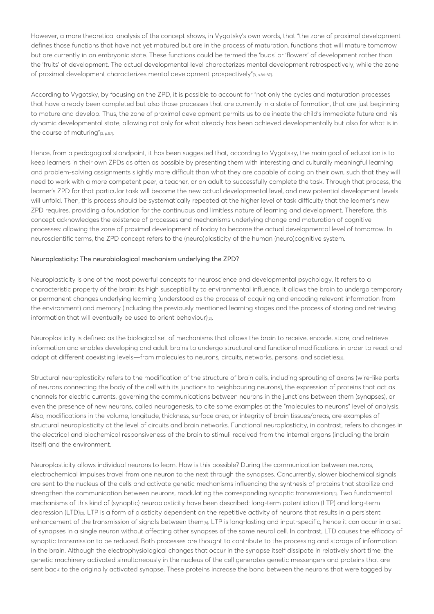However, a more theoretical analysis of the concept shows, in Vygotsky's own words, that "the zone of proximal development defines those functions that have not yet matured but are in the process of maturation, functions that will mature tomorrow but are currently in an embryonic state. These functions could be termed the 'buds' or 'flowers' of development rather than the 'fruits' of development. The actual developmental level characterizes mental development retrospectively, while the zone of proximal development characterizes mental development prospectively"[3, p.86-87].

According to Vygotsky, by focusing on the ZPD, it is possible to account for "not only the cycles and maturation processes that have already been completed but also those processes that are currently in a state of formation, that are just beginning to mature and develop. Thus, the zone of proximal development permits us to delineate the child's immediate future and his dynamic developmental state, allowing not only for what already has been achieved developmentally but also for what is in the course of maturing"[3, p.87].

Hence, from a pedagogical standpoint, it has been suggested that, according to Vygotsky, the main goal of education is to keep learners in their own ZPDs as often as possible by presenting them with interesting and culturally meaningful learning and problem-solving assignments slightly more difficult than what they are capable of doing on their own, such that they will need to work with a more competent peer, a teacher, or an adult to successfully complete the task. Through that process, the learner's ZPD for that particular task will become the new actual developmental level, and new potential development levels will unfold. Then, this process should be systematically repeated at the higher level of task difficulty that the learner's new ZPD requires, providing a foundation for the continuous and limitless nature of learning and development. Therefore, this concept acknowledges the existence of processes and mechanisms underlying change and maturation of cognitive processes: allowing the zone of proximal development of today to become the actual developmental level of tomorrow. In neuroscientific terms, the ZPD concept refers to the (neuro)plasticity of the human (neuro)cognitive system.

#### Neuroplasticity: The neurobiological mechanism underlying the ZPD?

Neuroplasticity is one of the most powerful concepts for neuroscience and developmental psychology. It refers to a characteristic property of the brain: its high susceptibility to environmental influence. It allows the brain to undergo temporary or permanent changes underlying learning (understood as the process of acquiring and encoding relevant information from the environment) and memory (including the previously mentioned learning stages and the process of storing and retrieving information that will eventually be used to orient behaviour)<sub>[2]</sub>.

Neuroplasticity is defined as the biological set of mechanisms that allows the brain to receive, encode, store, and retrieve information and enables developing and adult brains to undergo structural and functional modifications in order to react and adapt at different coexisting levels—from molecules to neurons, circuits, networks, persons, and societies[2].

Structural neuroplasticity refers to the modification of the structure of brain cells, including sprouting of axons (wire-like parts of neurons connecting the body of the cell with its junctions to neighbouring neurons), the expression of proteins that act as channels for electric currents, governing the communications between neurons in the junctions between them (synapses), or even the presence of new neurons, called neurogenesis, to cite some examples at the "molecules to neurons" level of analysis. Also, modifications in the volume, longitude, thickness, surface area, or integrity of brain tissues/areas, are examples of structural neuroplasticity at the level of circuits and brain networks. Functional neuroplasticity, in contrast, refers to changes in the electrical and biochemical responsiveness of the brain to stimuli received from the internal organs (including the brain itself) and the environment.

Neuroplasticity allows individual neurons to learn. How is this possible? During the communication between neurons, electrochemical impulses travel from one neuron to the next through the synapses. Concurrently, slower biochemical signals are sent to the nucleus of the cells and activate genetic mechanisms influencing the synthesis of proteins that stabilize and strengthen the communication between neurons, modulating the corresponding synaptic transmission[5]. Two fundamental mechanisms of this kind of (synaptic) neuroplasticity have been described: long-term potentiation (LTP) and long-term depression (LTD)<sub>[2]</sub>. LTP is a form of plasticity dependent on the repetitive activity of neurons that results in a persistent enhancement of the transmission of signals between them<sub>[6]</sub>. LTP is long-lasting and input-specific, hence it can occur in a set of synapses in a single neuron without affecting other synapses of the same neural cell. In contrast, LTD causes the efficacy of synaptic transmission to be reduced. Both processes are thought to contribute to the processing and storage of information in the brain. Although the electrophysiological changes that occur in the synapse itself dissipate in relatively short time, the genetic machinery activated simultaneously in the nucleus of the cell generates genetic messengers and proteins that are sent back to the originally activated synapse. These proteins increase the bond between the neurons that were tagged by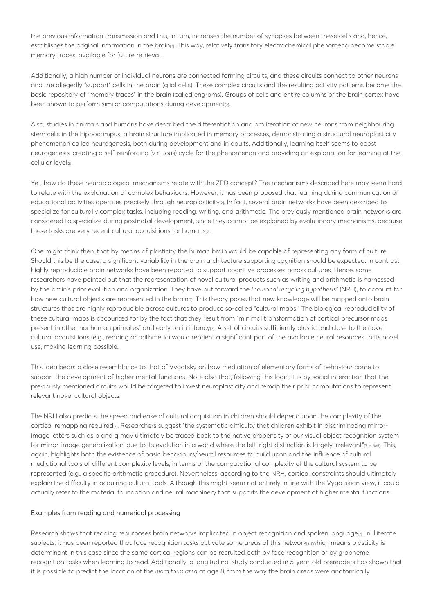the previous information transmission and this, in turn, increases the number of synapses between these cells and, hence, establishes the original information in the brain<sub>[2]</sub>. This way, relatively transitory electrochemical phenomena become stable memory traces, available for future retrieval.

Additionally, a high number of individual neurons are connected forming circuits, and these circuits connect to other neurons and the allegedly "support" cells in the brain (glial cells). These complex circuits and the resulting activity patterns become the basic repository of "memory traces" in the brain (called engrams). Groups of cells and entire columns of the brain cortex have been shown to perform similar computations during development<sub>[2]</sub>.

Also, studies in animals and humans have described the differentiation and proliferation of new neurons from neighbouring stem cells in the hippocampus, a brain structure implicated in memory processes, demonstrating a structural neuroplasticity phenomenon called neurogenesis, both during development and in adults. Additionally, learning itself seems to boost neurogenesis, creating a self-reinforcing (virtuous) cycle for the phenomenon and providing an explanation for learning at the cellular level<sub>[2]</sub>.

Yet, how do these neurobiological mechanisms relate with the ZPD concept? The mechanisms described here may seem hard to relate with the explanation of complex behaviours. However, it has been proposed that learning during communication or educational activities operates precisely through neuroplasticity<sub>[2]</sub>. In fact, several brain networks have been described to specialize for culturally complex tasks, including reading, writing, and arithmetic. The previously mentioned brain networks are considered to specialize during postnatal development, since they cannot be explained by evolutionary mechanisms, because these tasks are very recent cultural acquisitions for humans[2].

One might think then, that by means of plasticity the human brain would be capable of representing any form of culture. Should this be the case, a significant variability in the brain architecture supporting cognition should be expected. In contrast, highly reproducible brain networks have been reported to support cognitive processes across cultures. Hence, some researchers have pointed out that the representation of novel cultural products such as writing and arithmetic is harnessed by the brain's prior evolution and organization. They have put forward the "*neuronal recycling hypothesis"* (NRH), to account for how new cultural objects are represented in the brain<sub>[7]</sub>. This theory poses that new knowledge will be mapped onto brain structures that are highly reproducible across cultures to produce so-called "cultural maps." The biological reproducibility of these cultural maps is accounted for by the fact that they result from "minimal transformation of cortical precursor maps present in other nonhuman primates" and early on in infancy $\eta$ . A set of circuits sufficiently plastic and close to the novel cultural acquisitions (e.g., reading or arithmetic) would reorient a significant part of the available neural resources to its novel use, making learning possible.

This idea bears a close resemblance to that of Vygotsky on how mediation of elementary forms of behaviour come to support the development of higher mental functions. Note also that, following this logic, it is by social interaction that the previously mentioned circuits would be targeted to invest neuroplasticity and remap their prior computations to represent relevant novel cultural objects.

The NRH also predicts the speed and ease of cultural acquisition in children should depend upon the complexity of the cortical remapping required[7]. Researchers suggest "the systematic difficulty that children exhibit in discriminating mirrorimage letters such as p and q may ultimately be traced back to the native propensity of our visual object recognition system for mirror-image generalization, due to its evolution in a world where the left-right distinction is largely irrelevant"[7, p. 385]. This, again, highlights both the existence of basic behaviours/neural resources to build upon and the influence of cultural mediational tools of different complexity levels, in terms of the computational complexity of the cultural system to be represented (e.g., a specific arithmetic procedure). Nevertheless, according to the NRH, cortical constraints should ultimately explain the difficulty in acquiring cultural tools. Although this might seem not entirely in line with the Vygotskian view, it could actually refer to the material foundation and neural machinery that supports the development of higher mental functions.

#### Examples from reading and numerical processing

Research shows that reading repurposes brain networks implicated in object recognition and spoken language<sub>[7]</sub>. In illiterate subjects, it has been reported that face recognition tasks activate some areas of this network[8]which means plasticity is determinant in this case since the same cortical regions can be recruited both by face recognition or by grapheme recognition tasks when learning to read. Additionally, a longitudinal study conducted in 5-year-old prereaders has shown that it is possible to predict the location of the *word form area* at age 8, from the way the brain areas were anatomically